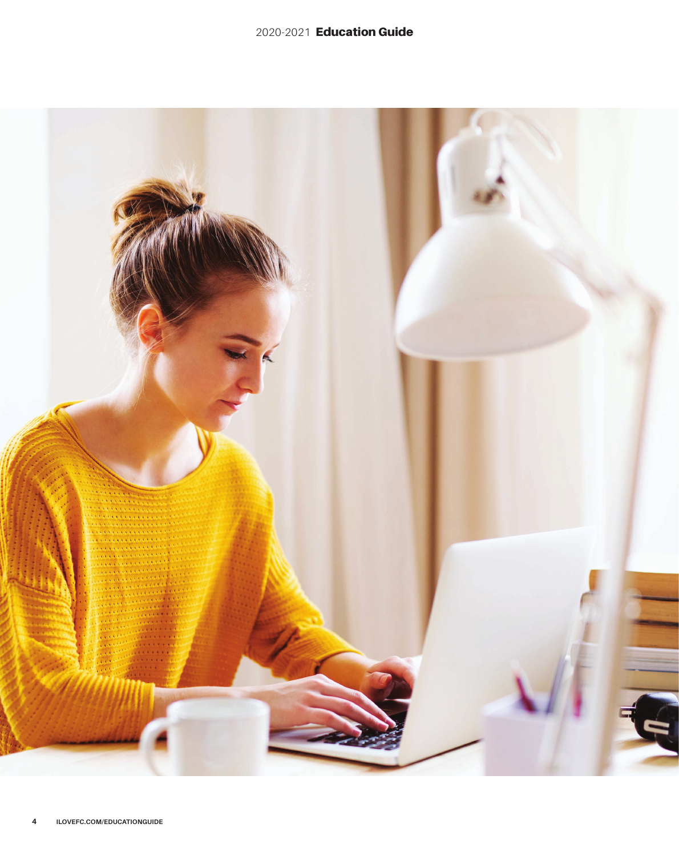## 2020-2021 Education Guide

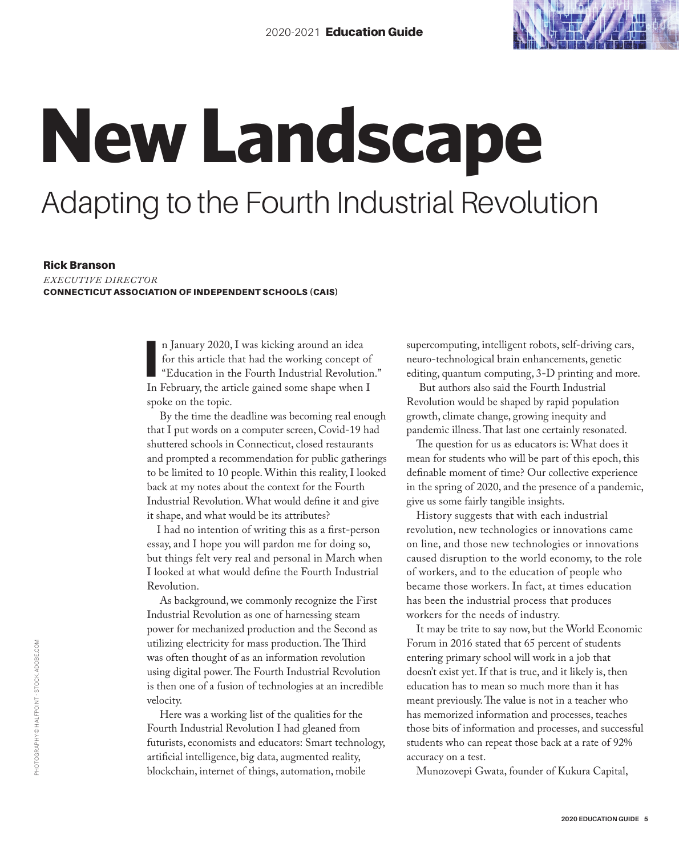## **New Landscape** Adapting to the Fourth Industrial Revolution

## Rick Branson

*EXECUTIVE DIRECTOR* CONNECTICUT ASSOCIATION OF INDEPENDENT SCHOOLS (CAIS)

> **I** n January 2020, I was kicking around an idea for this article that had the working concept of "Education in the Fourth Industrial Revolution." In February, the article gained some shape when I spoke on the topic.

 By the time the deadline was becoming real enough that I put words on a computer screen, Covid-19 had shuttered schools in Connecticut, closed restaurants and prompted a recommendation for public gatherings to be limited to 10 people. Within this reality, I looked back at my notes about the context for the Fourth Industrial Revolution. What would define it and give it shape, and what would be its attributes?

I had no intention of writing this as a first-person essay, and I hope you will pardon me for doing so, but things felt very real and personal in March when I looked at what would define the Fourth Industrial Revolution.

 As background, we commonly recognize the First Industrial Revolution as one of harnessing steam power for mechanized production and the Second as utilizing electricity for mass production. The Third was often thought of as an information revolution using digital power. The Fourth Industrial Revolution is then one of a fusion of technologies at an incredible velocity.

 Here was a working list of the qualities for the Fourth Industrial Revolution I had gleaned from futurists, economists and educators: Smart technology, artificial intelligence, big data, augmented reality, blockchain, internet of things, automation, mobile

supercomputing, intelligent robots, self-driving cars, neuro-technological brain enhancements, genetic editing, quantum computing, 3-D printing and more.

 But authors also said the Fourth Industrial Revolution would be shaped by rapid population growth, climate change, growing inequity and pandemic illness. That last one certainly resonated.

The question for us as educators is: What does it mean for students who will be part of this epoch, this definable moment of time? Our collective experience in the spring of 2020, and the presence of a pandemic, give us some fairly tangible insights.

History suggests that with each industrial revolution, new technologies or innovations came on line, and those new technologies or innovations caused disruption to the world economy, to the role of workers, and to the education of people who became those workers. In fact, at times education has been the industrial process that produces workers for the needs of industry.

It may be trite to say now, but the World Economic Forum in 2016 stated that 65 percent of students entering primary school will work in a job that doesn't exist yet. If that is true, and it likely is, then education has to mean so much more than it has meant previously. The value is not in a teacher who has memorized information and processes, teaches those bits of information and processes, and successful students who can repeat those back at a rate of 92% accuracy on a test.

Munozovepi Gwata, founder of Kukura Capital,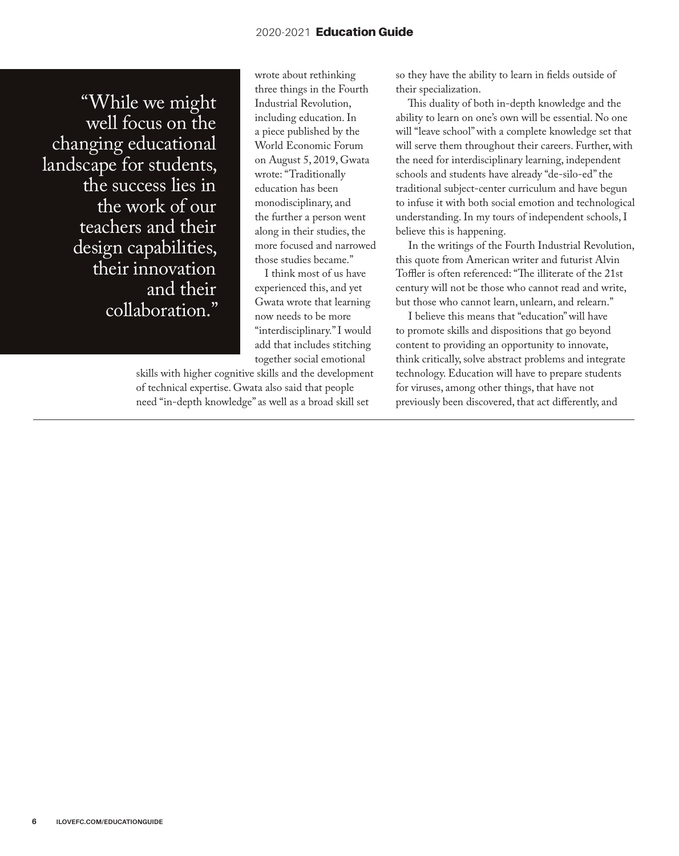"While we might well focus on the changing educational landscape for students, the success lies in the work of our teachers and their design capabilities, their innovation and their collaboration." wrote about rethinking three things in the Fourth Industrial Revolution, including education. In a piece published by the World Economic Forum on August 5, 2019, Gwata wrote: "Traditionally education has been monodisciplinary, and the further a person went along in their studies, the more focused and narrowed those studies became."

I think most of us have experienced this, and yet Gwata wrote that learning now needs to be more "interdisciplinary." I would add that includes stitching together social emotional

skills with higher cognitive skills and the development of technical expertise. Gwata also said that people need "in-depth knowledge" as well as a broad skill set

so they have the ability to learn in fields outside of their specialization.

 This duality of both in-depth knowledge and the ability to learn on one's own will be essential. No one will "leave school" with a complete knowledge set that will serve them throughout their careers. Further, with the need for interdisciplinary learning, independent schools and students have already "de-silo-ed" the traditional subject-center curriculum and have begun to infuse it with both social emotion and technological understanding. In my tours of independent schools, I believe this is happening.

 In the writings of the Fourth Industrial Revolution, this quote from American writer and futurist Alvin Toffler is often referenced: "The illiterate of the 21st century will not be those who cannot read and write, but those who cannot learn, unlearn, and relearn."

 I believe this means that "education" will have to promote skills and dispositions that go beyond content to providing an opportunity to innovate, think critically, solve abstract problems and integrate technology. Education will have to prepare students for viruses, among other things, that have not previously been discovered, that act differently, and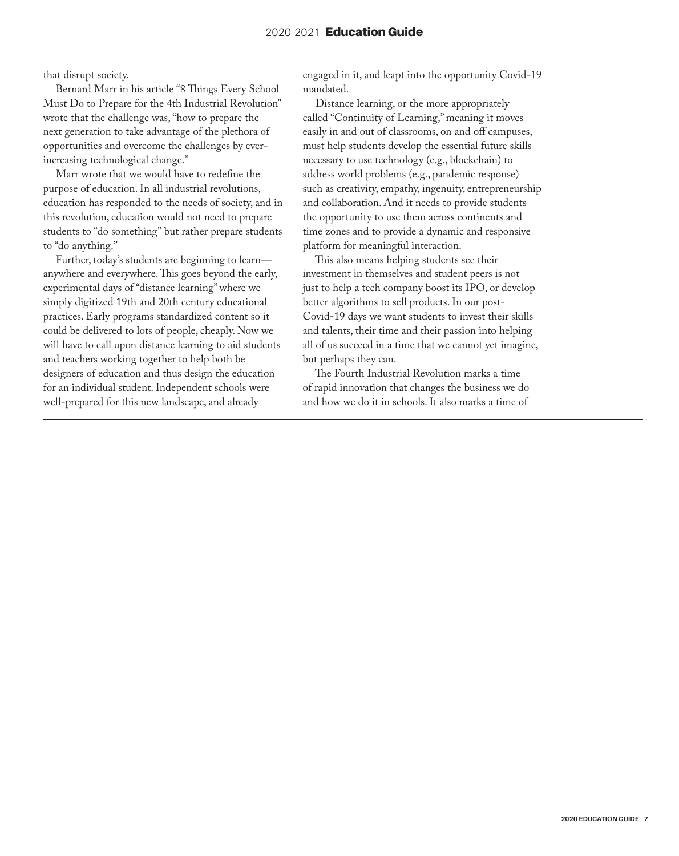that disrupt society.

 Bernard Marr in his article "8 Things Every School Must Do to Prepare for the 4th Industrial Revolution" wrote that the challenge was, "how to prepare the next generation to take advantage of the plethora of opportunities and overcome the challenges by everincreasing technological change."

 Marr wrote that we would have to redefine the purpose of education. In all industrial revolutions, education has responded to the needs of society, and in this revolution, education would not need to prepare students to "do something" but rather prepare students to "do anything."

 Further, today's students are beginning to learn anywhere and everywhere. This goes beyond the early, experimental days of "distance learning" where we simply digitized 19th and 20th century educational practices. Early programs standardized content so it could be delivered to lots of people, cheaply. Now we will have to call upon distance learning to aid students and teachers working together to help both be designers of education and thus design the education for an individual student. Independent schools were well-prepared for this new landscape, and already

engaged in it, and leapt into the opportunity Covid-19 mandated.

 Distance learning, or the more appropriately called "Continuity of Learning," meaning it moves easily in and out of classrooms, on and off campuses, must help students develop the essential future skills necessary to use technology (e.g., blockchain) to address world problems (e.g., pandemic response) such as creativity, empathy, ingenuity, entrepreneurship and collaboration. And it needs to provide students the opportunity to use them across continents and time zones and to provide a dynamic and responsive platform for meaningful interaction.

 This also means helping students see their investment in themselves and student peers is not just to help a tech company boost its IPO, or develop better algorithms to sell products. In our post-Covid-19 days we want students to invest their skills and talents, their time and their passion into helping all of us succeed in a time that we cannot yet imagine, but perhaps they can.

 The Fourth Industrial Revolution marks a time of rapid innovation that changes the business we do and how we do it in schools. It also marks a time of